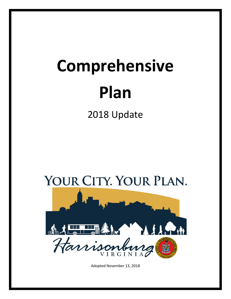# **Comprehensive Plan**

2018 Update

YOUR CITY. YOUR PLAN.



Adopted November 13, 2018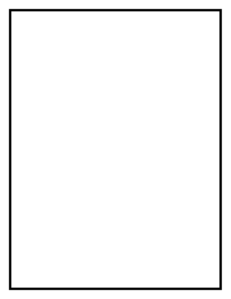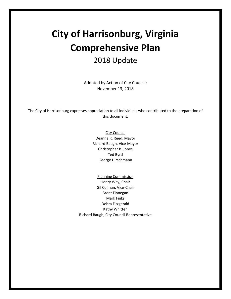## **City of Harrisonburg, Virginia Comprehensive Plan** 2018 Update

Adopted by Action of City Council: November 13, 2018

The City of Harrisonburg expresses appreciation to all individuals who contributed to the preparation of this document.

> **City Council** Deanna R. Reed, Mayor Richard Baugh, Vice-Mayor Christopher B. Jones Ted Byrd George Hirschmann

Planning Commission Henry Way, Chair Gil Colman, Vice-Chair Brent Finnegan Mark Finks Debra Fitzgerald Kathy Whitten Richard Baugh, City Council Representative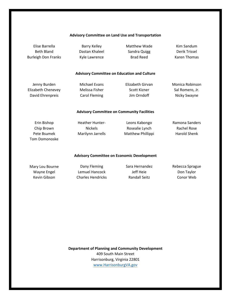#### **Advisory Committee on Land Use and Transportation**

Elise Barrella Beth Bland Burleigh Don Franks

Barry Kelley Dastan Khaleel Kyle Lawrence

Matthew Wade Sandra Quigg Brad Reed

Kim Sandum Derik Trissel Karen Thomas

#### **Advisory Committee on Education and Culture**

Jenny Burden Elizabeth Chenevey David Ehrenpreis

Michael Evans Melissa Fisher Carol Fleming Elizabeth Girvan Scott Kizner Jim Orndoff

Monica Robinson Sal Romero, Jr. Nicky Swayne

#### **Advisory Committee on Community Facilities**

Erin Bishop Chip Brown Pete Bsumek Tom Domonoske Heather Hunter-Nickels Marilynn Jarrells

Leons Kabongo Rosealie Lynch Matthew Phillippi Ramona Sanders Rachel Rose Harold Shenk

#### **Advisory Committee on Economic Development**

Mary Lou Bourne Wayne Engel Kevin Gibson

Dany Fleming Lemuel Hancock Charles Hendricks Sara Hernandez Jeff Heie Randall Seitz

Rebecca Sprague Don Taylor Conor Web

**Department of Planning and Community Development** 409 South Main Street Harrisonburg, Virginia 22801 [www.HarrisonburgVA.gov](http://www.harrisonburgva.gov/)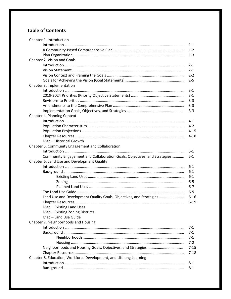### **Table of Contents**

| Chapter 1. Introduction                                                  |          |
|--------------------------------------------------------------------------|----------|
|                                                                          | $1 - 1$  |
|                                                                          | $1 - 2$  |
|                                                                          | $1 - 3$  |
| Chapter 2. Vision and Goals                                              |          |
|                                                                          | $2 - 1$  |
|                                                                          | $2 - 1$  |
|                                                                          | $2 - 2$  |
|                                                                          | $2 - 5$  |
| Chapter 3. Implementation                                                |          |
|                                                                          | $3 - 1$  |
|                                                                          | $3-1$    |
|                                                                          | $3 - 3$  |
|                                                                          | $3 - 3$  |
|                                                                          | $3 - 3$  |
| Chapter 4. Planning Context                                              |          |
|                                                                          | $4 - 1$  |
|                                                                          | $4 - 2$  |
|                                                                          | $4 - 15$ |
|                                                                          | $4 - 18$ |
| Map - Historical Growth                                                  |          |
| Chapter 5. Community Engagement and Collaboration                        |          |
|                                                                          | $5-1$    |
| Community Engagement and Collaboration Goals, Objectives, and Strategies | $5 - 1$  |
| Chapter 6. Land Use and Development Quality                              |          |
|                                                                          | $6 - 1$  |
|                                                                          | $6 - 1$  |
|                                                                          | $6 - 1$  |
|                                                                          | $6-5$    |
|                                                                          | $6-7$    |
|                                                                          | $6-9$    |
| Land Use and Development Quality Goals, Objectives, and Strategies       | $6 - 16$ |
|                                                                          | $6 - 19$ |
| Map – Existing Land Uses                                                 |          |
| Map - Existing Zoning Districts                                          |          |
| Map - Land Use Guide                                                     |          |
| Chapter 7. Neighborhoods and Housing                                     |          |
|                                                                          | 7-1      |
|                                                                          | 7-1      |
|                                                                          | $7-1$    |
|                                                                          | $7-2$    |
|                                                                          | $7 - 15$ |
|                                                                          | $7 - 18$ |
| Chapter 8. Education, Workforce Development, and Lifelong Learning       |          |
|                                                                          | $8 - 1$  |
|                                                                          | $8 - 1$  |
|                                                                          |          |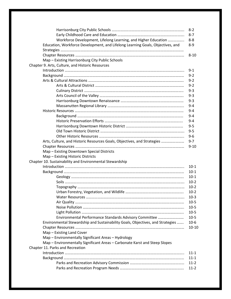|                                                                                | $8-2$                 |
|--------------------------------------------------------------------------------|-----------------------|
|                                                                                | $8 - 7$               |
| Workforce Development, Lifelong Learning, and Higher Education                 | $8 - 8$               |
| Education, Workforce Development, and Lifelong Learning Goals, Objectives, and | $8 - 9$               |
|                                                                                |                       |
|                                                                                | $8 - 10$              |
| Map - Existing Harrisonburg City Public Schools                                |                       |
| Chapter 9. Arts, Culture, and Historic Resources                               |                       |
|                                                                                | $9 - 1$               |
|                                                                                | $9 - 2$               |
|                                                                                | $9 - 2$               |
|                                                                                | $9 - 2$               |
|                                                                                | $9 - 3$               |
|                                                                                | $9 - 3$               |
|                                                                                | $9 - 3$               |
|                                                                                | $9 - 4$               |
|                                                                                | $9 - 4$               |
|                                                                                | $9 - 4$               |
|                                                                                | $9 - 4$               |
|                                                                                | $9 - 5$               |
|                                                                                | $9 - 5$               |
|                                                                                | $9 - 6$               |
| Arts, Culture, and Historic Resources Goals, Objectives, and Strategies        | $9 - 7$               |
|                                                                                | $9 - 10$              |
|                                                                                |                       |
|                                                                                |                       |
| Map - Existing Downtown Special Districts                                      |                       |
| Map - Existing Historic Districts                                              |                       |
| Chapter 10. Sustainability and Environmental Stewardship                       |                       |
|                                                                                | $10-1$                |
|                                                                                | $10-1$                |
|                                                                                | $10-1$                |
|                                                                                | $10-2$                |
|                                                                                | $10-2$                |
|                                                                                | $10-2$                |
|                                                                                | $10-3$                |
|                                                                                | $10-5$                |
|                                                                                | $10-5$                |
|                                                                                | $10-5$                |
| Environmental Performance Standards Advisory Committee                         | $10-5$                |
| Environmental Stewardship and Sustainability Goals, Objectives, and Strategies | $10-6$                |
|                                                                                |                       |
| Map - Existing Land Cover                                                      |                       |
| Map - Environmentally Significant Areas - Hydrology                            |                       |
| Map - Environmentally Significant Areas - Carbonate Karst and Steep Slopes     |                       |
| Chapter 11. Parks and Recreation                                               |                       |
|                                                                                | $11 - 1$              |
|                                                                                | $10 - 10$<br>$11 - 1$ |
|                                                                                | $11-2$<br>$11-2$      |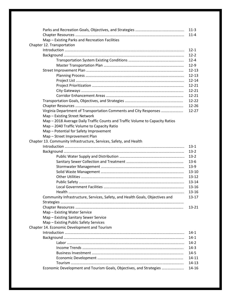|                                                                               | $11 - 3$  |
|-------------------------------------------------------------------------------|-----------|
|                                                                               | $11 - 4$  |
| Map - Existing Parks and Recreation Facilities                                |           |
| Chapter 12. Transportation                                                    |           |
|                                                                               | 12-1      |
|                                                                               | $12 - 2$  |
|                                                                               | $12 - 4$  |
|                                                                               | $12-9$    |
|                                                                               | $12 - 13$ |
|                                                                               | $12 - 13$ |
|                                                                               | $12 - 14$ |
|                                                                               | 12-21     |
|                                                                               | $12 - 21$ |
|                                                                               | $12 - 21$ |
|                                                                               | $12 - 22$ |
|                                                                               | 12-26     |
| Virginia Department of Transportation Comments and City Responses             | $12 - 27$ |
| Map - Existing Street Network                                                 |           |
| Map - 2018 Average Daily Traffic Counts and Traffic Volume to Capacity Ratios |           |
| Map - 2040 Traffic Volume to Capacity Ratio                                   |           |
| Map - Potential for Safety Improvement                                        |           |
| Map - Street Improvement Plan                                                 |           |
| Chapter 13. Community Infrastructure, Services, Safety, and Health            |           |
|                                                                               | $13 - 1$  |
|                                                                               | $13-2$    |
|                                                                               | $13-2$    |
|                                                                               | $13-6$    |
|                                                                               | $13-9$    |
|                                                                               | $13 - 10$ |
|                                                                               | $13 - 12$ |
|                                                                               | 13-14     |
|                                                                               | $13 - 16$ |
|                                                                               | 13-16     |
| Community Infrastructure, Services, Safety, and Health Goals, Objectives and  | $13 - 17$ |
|                                                                               |           |
|                                                                               | $13 - 21$ |
| Map - Existing Water Service                                                  |           |
| Map - Existing Sanitary Sewer Service                                         |           |
| Map - Existing Public Safety Services                                         |           |
| Chapter 14. Economic Development and Tourism                                  |           |
|                                                                               | $14-1$    |
|                                                                               | $14-1$    |
|                                                                               | $14-2$    |
|                                                                               | $14-3$    |
|                                                                               | $14 - 5$  |
|                                                                               | $14 - 11$ |
|                                                                               | 14-13     |
| Economic Development and Tourism Goals, Objectives, and Strategies            | 14-16     |
|                                                                               |           |